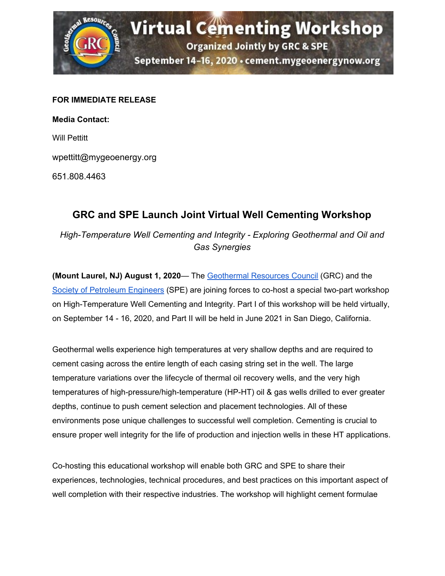

## **FOR IMMEDIATE RELEASE**

**Media Contact:** Will Pettitt wpettitt@mygeoenergy.org

651.808.4463

## **GRC and SPE Launch Joint Virtual Well Cementing Workshop**

*High-Temperature Well Cementing and Integrity - Exploring Geothermal and Oil and Gas Synergies*

**(Mount Laurel, NJ) August 1, 2020**— The [Geothermal](https://geothermal.org/) Resources Council (GRC) and the Society of [Petroleum](https://www.spe.org/en/) Engineers (SPE) are joining forces to co-host a special two-part workshop on High-Temperature Well Cementing and Integrity. Part I of this workshop will be held virtually, on September 14 - 16, 2020, and Part II will be held in June 2021 in San Diego, California.

Geothermal wells experience high temperatures at very shallow depths and are required to cement casing across the entire length of each casing string set in the well. The large temperature variations over the lifecycle of thermal oil recovery wells, and the very high temperatures of high-pressure/high-temperature (HP-HT) oil & gas wells drilled to ever greater depths, continue to push cement selection and placement technologies. All of these environments pose unique challenges to successful well completion. Cementing is crucial to ensure proper well integrity for the life of production and injection wells in these HT applications.

Co-hosting this educational workshop will enable both GRC and SPE to share their experiences, technologies, technical procedures, and best practices on this important aspect of well completion with their respective industries. The workshop will highlight cement formulae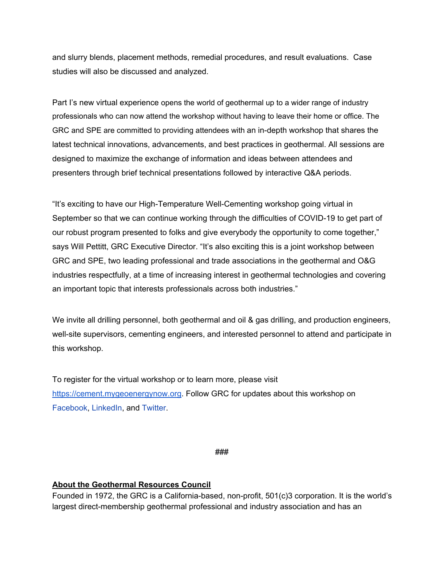and slurry blends, placement methods, remedial procedures, and result evaluations. Case studies will also be discussed and analyzed.

Part I's new virtual experience opens the world of geothermal up to a wider range of industry professionals who can now attend the workshop without having to leave their home or office. The GRC and SPE are committed to providing attendees with an in-depth workshop that shares the latest technical innovations, advancements, and best practices in geothermal. All sessions are designed to maximize the exchange of information and ideas between attendees and presenters through brief technical presentations followed by interactive Q&A periods.

"It's exciting to have our High-Temperature Well-Cementing workshop going virtual in September so that we can continue working through the difficulties of COVID-19 to get part of our robust program presented to folks and give everybody the opportunity to come together," says Will Pettitt, GRC Executive Director. "It's also exciting this is a joint workshop between GRC and SPE, two leading professional and trade associations in the geothermal and O&G industries respectfully, at a time of increasing interest in geothermal technologies and covering an important topic that interests professionals across both industries."

We invite all drilling personnel, both geothermal and oil & gas drilling, and production engineers, well-site supervisors, cementing engineers, and interested personnel to attend and participate in this workshop.

To register for the virtual workshop or to learn more, please visit [https://cement.mygeoenergynow.org.](https://cement.mygeoenergynow.org/) Follow GRC for updates about this workshop on [Facebook](https://www.facebook.com/GeothermalResourcesCouncil), [LinkedIn,](https://www.linkedin.com/in/geothermalresourcescouncil/) and [Twitter.](https://twitter.com/GRC2001)

**###**

## **About the Geothermal Resources Council**

Founded in 1972, the GRC is a California-based, non-profit, 501(c)3 corporation. It is the world's largest direct-membership geothermal professional and industry association and has an